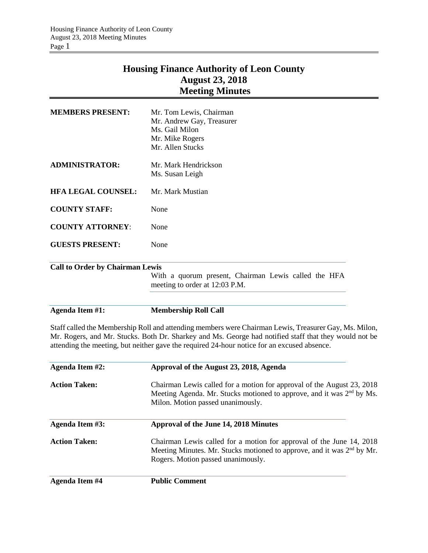## **Housing Finance Authority of Leon County August 23, 2018 Meeting Minutes**

| Agenda Item #1:                        | <b>Membership Roll Call</b>                                                            |
|----------------------------------------|----------------------------------------------------------------------------------------|
|                                        |                                                                                        |
|                                        | With a quorum present, Chairman Lewis called the HFA<br>meeting to order at 12:03 P.M. |
| <b>Call to Order by Chairman Lewis</b> |                                                                                        |
| <b>GUESTS PRESENT:</b>                 | None                                                                                   |
| <b>COUNTY ATTORNEY:</b>                | None                                                                                   |
| <b>COUNTY STAFF:</b>                   | None                                                                                   |
| <b>HFA LEGAL COUNSEL:</b>              | Mr. Mark Mustian                                                                       |
| <b>ADMINISTRATOR:</b>                  | Mr. Mark Hendrickson<br>Ms. Susan Leigh                                                |
|                                        | Mr. Andrew Gay, Treasurer<br>Ms. Gail Milon<br>Mr. Mike Rogers<br>Mr. Allen Stucks     |
| <b>MEMBERS PRESENT:</b>                | Mr. Tom Lewis, Chairman                                                                |

Staff called the Membership Roll and attending members were Chairman Lewis, Treasurer Gay, Ms. Milon, Mr. Rogers, and Mr. Stucks. Both Dr. Sharkey and Ms. George had notified staff that they would not be attending the meeting, but neither gave the required 24-hour notice for an excused absence.

| Agenda Item #2:       | Approval of the August 23, 2018, Agenda                                                                                                                                                          |  |
|-----------------------|--------------------------------------------------------------------------------------------------------------------------------------------------------------------------------------------------|--|
| <b>Action Taken:</b>  | Chairman Lewis called for a motion for approval of the August 23, 2018<br>Meeting Agenda. Mr. Stucks motioned to approve, and it was 2 <sup>nd</sup> by Ms.<br>Milon. Motion passed unanimously. |  |
| Agenda Item #3:       | Approval of the June 14, 2018 Minutes                                                                                                                                                            |  |
| <b>Action Taken:</b>  | Chairman Lewis called for a motion for approval of the June 14, 2018<br>Meeting Minutes. Mr. Stucks motioned to approve, and it was 2 <sup>nd</sup> by Mr.<br>Rogers. Motion passed unanimously. |  |
| <b>Agenda Item #4</b> | <b>Public Comment</b>                                                                                                                                                                            |  |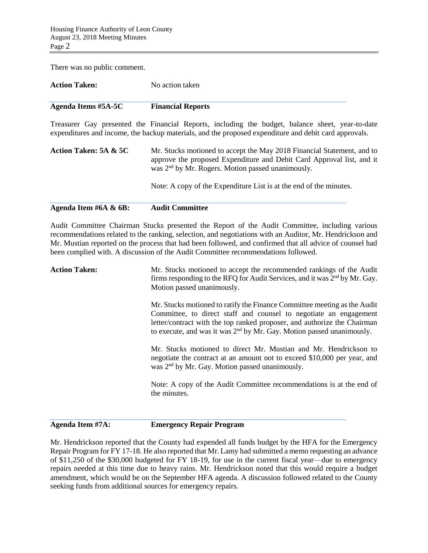There was no public comment.

| <b>Action Taken:</b> | No action taken          |
|----------------------|--------------------------|
| Agenda Items #5A-5C  | <b>Financial Reports</b> |

Treasurer Gay presented the Financial Reports, including the budget, balance sheet, year-to-date expenditures and income, the backup materials, and the proposed expenditure and debit card approvals.

| Action Taken: 5A & 5C | Mr. Stucks motioned to accept the May 2018 Financial Statement, and to<br>approve the proposed Expenditure and Debit Card Approval list, and it<br>was 2 <sup>nd</sup> by Mr. Rogers. Motion passed unanimously. |
|-----------------------|------------------------------------------------------------------------------------------------------------------------------------------------------------------------------------------------------------------|
|                       | Note: A copy of the Expenditure List is at the end of the minutes.                                                                                                                                               |

## **Agenda Item #6A & 6B: Audit Committee**

Audit Committee Chairman Stucks presented the Report of the Audit Committee, including various recommendations related to the ranking, selection, and negotiations with an Auditor, Mr. Hendrickson and Mr. Mustian reported on the process that had been followed, and confirmed that all advice of counsel had been complied with. A discussion of the Audit Committee recommendations followed.

| <b>Action Taken:</b> | Mr. Stucks motioned to accept the recommended rankings of the Audit<br>firms responding to the RFQ for Audit Services, and it was 2 <sup>nd</sup> by Mr. Gay.<br>Motion passed unanimously.                                                                                                                    |
|----------------------|----------------------------------------------------------------------------------------------------------------------------------------------------------------------------------------------------------------------------------------------------------------------------------------------------------------|
|                      | Mr. Stucks motioned to ratify the Finance Committee meeting as the Audit<br>Committee, to direct staff and counsel to negotiate an engagement<br>letter/contract with the top ranked proposer, and authorize the Chairman<br>to execute, and was it was 2 <sup>nd</sup> by Mr. Gay. Motion passed unanimously. |
|                      | Mr. Stucks motioned to direct Mr. Mustian and Mr. Hendrickson to<br>negotiate the contract at an amount not to exceed \$10,000 per year, and<br>was 2 <sup>nd</sup> by Mr. Gay. Motion passed unanimously.                                                                                                     |
|                      | Note: A copy of the Audit Committee recommendations is at the end of<br>the minutes.                                                                                                                                                                                                                           |

**Agenda Item #7A: Emergency Repair Program**

Mr. Hendrickson reported that the County had expended all funds budget by the HFA for the Emergency Repair Program for FY 17-18. He also reported that Mr. Lamy had submitted a memo requesting an advance of \$11,250 of the \$30,000 budgeted for FY 18-19, for use in the current fiscal year—due to emergency repairs needed at this time due to heavy rains. Mr. Hendrickson noted that this would require a budget amendment, which would be on the September HFA agenda. A discussion followed related to the County seeking funds from additional sources for emergency repairs.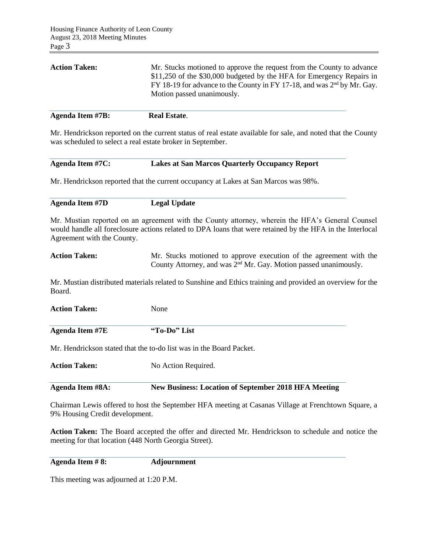| <b>Real Estate.</b>                                                                                                                                                                                                                                                 |
|---------------------------------------------------------------------------------------------------------------------------------------------------------------------------------------------------------------------------------------------------------------------|
| Mr. Stucks motioned to approve the request from the County to advance<br>\$11,250 of the \$30,000 budgeted by the HFA for Emergency Repairs in<br>FY 18-19 for advance to the County in FY 17-18, and was 2 <sup>nd</sup> by Mr. Gay.<br>Motion passed unanimously. |
|                                                                                                                                                                                                                                                                     |

Mr. Hendrickson reported on the current status of real estate available for sale, and noted that the County was scheduled to select a real estate broker in September.

| Agenda Item #7C: | <b>Lakes at San Marcos Quarterly Occupancy Report</b> |  |
|------------------|-------------------------------------------------------|--|
|                  |                                                       |  |

Mr. Hendrickson reported that the current occupancy at Lakes at San Marcos was 98%.

| <b>Agenda Item #7D</b> | <b>Legal Update</b> |
|------------------------|---------------------|
|                        |                     |

Mr. Mustian reported on an agreement with the County attorney, wherein the HFA's General Counsel would handle all foreclosure actions related to DPA loans that were retained by the HFA in the Interlocal Agreement with the County.

```
Action Taken: Mr. Stucks motioned to approve execution of the agreement with the 
                 County Attorney, and was 2<sup>nd</sup> Mr. Gay. Motion passed unanimously.
```
Mr. Mustian distributed materials related to Sunshine and Ethics training and provided an overview for the Board.

Action Taken: None

**Agenda Item #7E "To-Do" List**

Mr. Hendrickson stated that the to-do list was in the Board Packet.

Action Taken: No Action Required.

**Agenda Item #8A: New Business: Location of September 2018 HFA Meeting**

Chairman Lewis offered to host the September HFA meeting at Casanas Village at Frenchtown Square, a 9% Housing Credit development.

**Action Taken:** The Board accepted the offer and directed Mr. Hendrickson to schedule and notice the meeting for that location (448 North Georgia Street).

**Agenda Item # 8: Adjournment**

This meeting was adjourned at 1:20 P.M.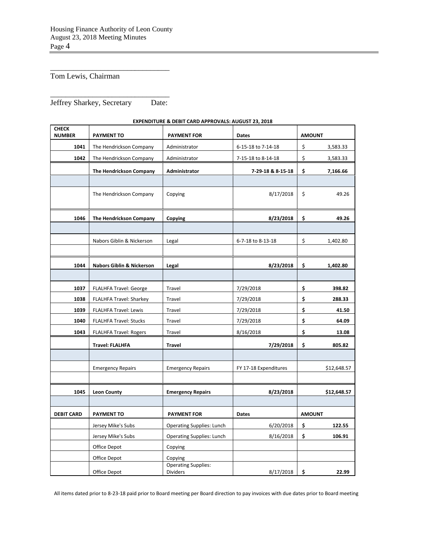\_\_\_\_\_\_\_\_\_\_\_\_\_\_\_\_\_\_\_\_\_\_\_\_\_\_\_\_\_\_\_

Tom Lewis, Chairman

\_\_\_\_\_\_\_\_\_\_\_\_\_\_\_\_\_\_\_\_\_\_\_\_\_\_\_\_\_\_\_ Jeffrey Sharkey, Secretary Date:

| <b>CHECK</b><br><b>NUMBER</b> | <b>PAYMENT TO</b>       | <b>PAYMENT FOR</b>   | <b>Dates</b>       | <b>AMOUNT</b> |          |
|-------------------------------|-------------------------|----------------------|--------------------|---------------|----------|
| 1041                          | The Hendrickson Company | Administrator        | 6-15-18 to 7-14-18 |               | 3,583.33 |
| 1042                          | The Hendrickson Company | Administrator        | 7-15-18 to 8-14-18 |               | 3,583.33 |
|                               | The Hendrickson Company | <b>Administrator</b> | 7-29-18 & 8-15-18  |               | 7,166.66 |
|                               |                         |                      |                    |               |          |
|                               | The Hendrickson Company | Copying              | 8/17/2018          |               | 49.26    |

## **EXPENDITURE & DEBIT CARD APPROVALS: AUGUST 23, 2018**

| The Hendrickson Company              | Administrator                    | 7 29 18 & 8 15 18          | \$            | 7,166.66    |
|--------------------------------------|----------------------------------|----------------------------|---------------|-------------|
|                                      |                                  |                            |               |             |
| The Hendrickson Company              | Copying                          | 8/17/2018                  | \$            | 49.26       |
| The Hendrickson Company              | Copying                          | 8/23/2018                  | \$            | 49.26       |
|                                      |                                  |                            |               |             |
| Nabors Giblin & Nickerson            | Legal                            | 6-7-18 to 8-13-18          | \$            | 1,402.80    |
|                                      |                                  |                            |               |             |
| <b>Nabors Giblin &amp; Nickerson</b> | Legal                            | 8/23/2018                  | \$            | 1,402.80    |
|                                      |                                  |                            |               |             |
| <b>FLALHFA Travel: George</b>        | Travel                           | 7/29/2018                  | \$            | 398.82      |
| FLALHFA Travel: Sharkey              | Travel                           | 7/29/2018                  | \$            | 288.33      |
| <b>FLALHFA Travel: Lewis</b>         | Travel                           | 7/29/2018                  | \$            | 41.50       |
| FLALHFA Travel: Stucks               | Travel                           | 7/29/2018                  | \$            | 64.09       |
| <b>FLALHFA Travel: Rogers</b>        | Travel                           | 8/16/2018                  | \$            | 13.08       |
| <b>Travel: FLALHFA</b>               | <b>Travel</b>                    | 7/29/2018                  | \$            | 805.82      |
|                                      |                                  |                            |               |             |
| <b>Emergency Repairs</b>             | <b>Emergency Repairs</b>         | FY 17-18 Expenditures      |               | \$12,648.57 |
|                                      |                                  |                            |               |             |
| <b>Leon County</b>                   | <b>Emergency Repairs</b>         | 8/23/2018                  |               | \$12,648.57 |
|                                      |                                  |                            |               |             |
| <b>PAYMENT TO</b>                    | <b>PAYMENT FOR</b>               | Dates                      | <b>AMOUNT</b> |             |
| Jersey Mike's Subs                   | <b>Operating Supplies: Lunch</b> | 6/20/2018                  | \$            | 122.55      |
| Jersey Mike's Subs                   | <b>Operating Supplies: Lunch</b> | 8/16/2018                  | \$            | 106.91      |
| Office Depot                         | Copying                          |                            |               |             |
| Office Depot                         | Copying                          |                            |               |             |
| Office Depot                         | <b>Dividers</b>                  | 8/17/2018                  | \$            | 22.99       |
|                                      |                                  | <b>Operating Supplies:</b> |               |             |

All items dated prior to 8-23-18 paid prior to Board meeting per Board direction to pay invoices with due dates prior to Board meeting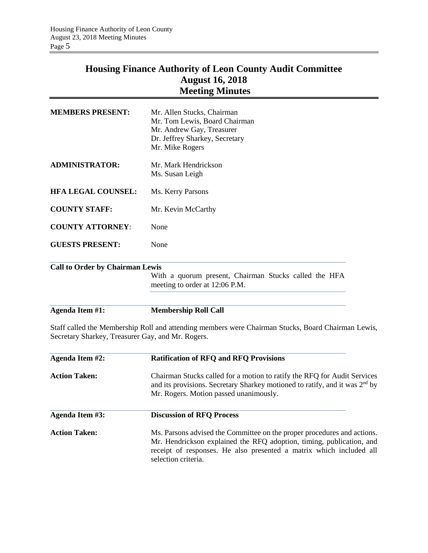## **Housing Finance Authority of Leon County Audit Committee August 16, 2018 Meeting Minutes**

| <b>Agenda Item #1:</b>                 | <b>Membership Roll Call</b>                                                                                                                   |
|----------------------------------------|-----------------------------------------------------------------------------------------------------------------------------------------------|
|                                        |                                                                                                                                               |
|                                        | With a quorum present, Chairman Stucks called the HFA<br>meeting to order at 12:06 P.M.                                                       |
| <b>Call to Order by Chairman Lewis</b> |                                                                                                                                               |
| <b>GUESTS PRESENT:</b>                 | None                                                                                                                                          |
| <b>COUNTY ATTORNEY:</b>                | None                                                                                                                                          |
| <b>COUNTY STAFF:</b>                   | Mr. Kevin McCarthy                                                                                                                            |
| <b>HFA LEGAL COUNSEL:</b>              | Ms. Kerry Parsons                                                                                                                             |
| <b>ADMINISTRATOR:</b>                  | Mr. Mark Hendrickson<br>Ms. Susan Leigh                                                                                                       |
| <b>MEMBERS PRESENT:</b>                | Mr. Allen Stucks, Chairman<br>Mr. Tom Lewis, Board Chairman<br>Mr. Andrew Gay, Treasurer<br>Dr. Jeffrey Sharkey, Secretary<br>Mr. Mike Rogers |
|                                        |                                                                                                                                               |

Staff called the Membership Roll and attending members were Chairman Stucks, Board Chairman Lewis, Secretary Sharkey, Treasurer Gay, and Mr. Rogers.

| Agenda Item #2:      | <b>Ratification of RFQ and RFQ Provisions</b>                                                                                                                                                                                                 |
|----------------------|-----------------------------------------------------------------------------------------------------------------------------------------------------------------------------------------------------------------------------------------------|
| <b>Action Taken:</b> | Chairman Stucks called for a motion to ratify the RFQ for Audit Services<br>and its provisions. Secretary Sharkey motioned to ratify, and it was 2 <sup>nd</sup> by<br>Mr. Rogers. Motion passed unanimously.                                 |
| Agenda Item #3:      | <b>Discussion of RFO Process</b>                                                                                                                                                                                                              |
| <b>Action Taken:</b> | Ms. Parsons advised the Committee on the proper procedures and actions.<br>Mr. Hendrickson explained the RFQ adoption, timing, publication, and<br>receipt of responses. He also presented a matrix which included all<br>selection criteria. |